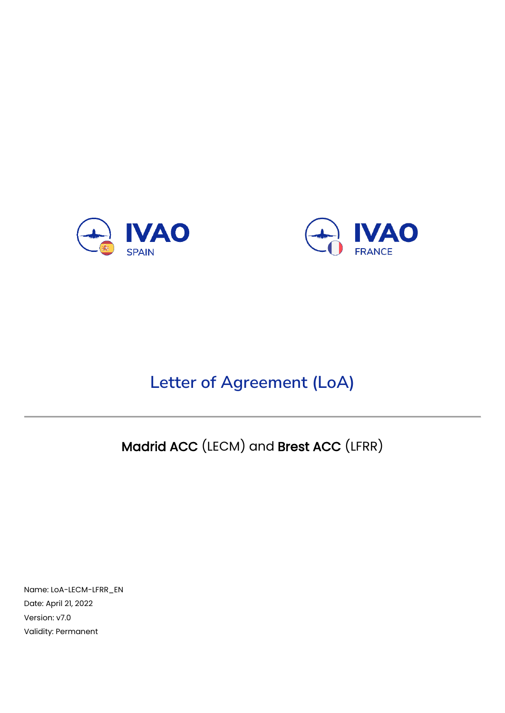



# **Letter of Agreement (LoA)**

# Madrid ACC (LECM) and Brest ACC (LFRR)

Name: LoA-LECM-LFRR\_EN Date: April 21, 2022 Version: v7.0 Validity: Permanent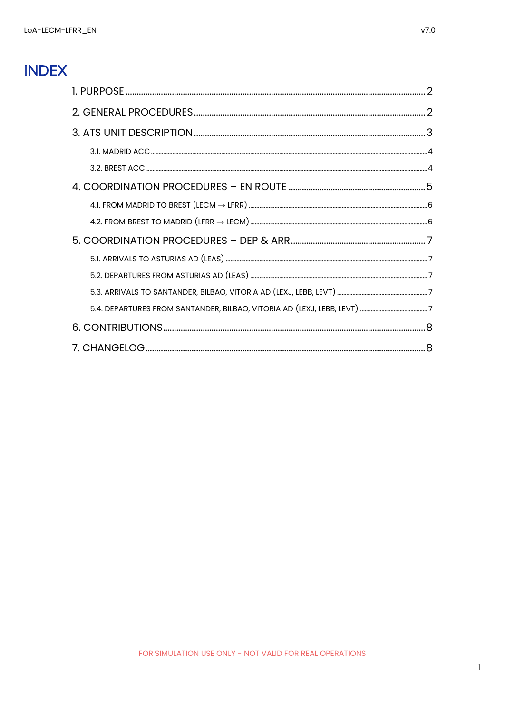# **INDEX**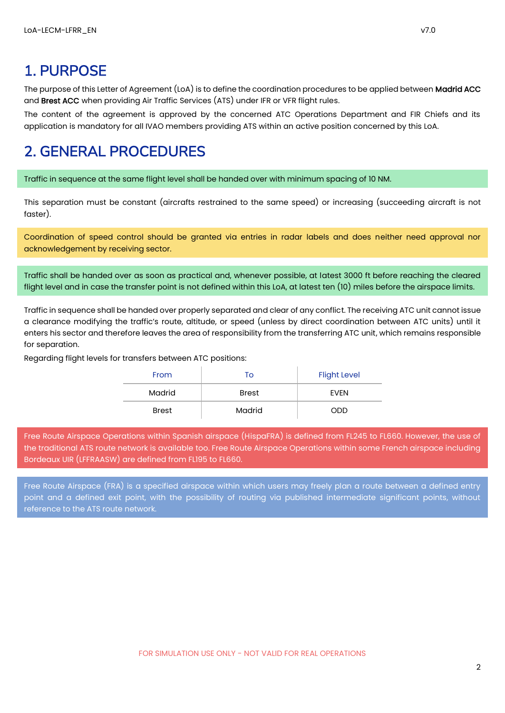# <span id="page-2-0"></span>1. PURPOSE

The purpose of this Letter of Agreement (LoA) is to define the coordination procedures to be applied between Madrid ACC and Brest ACC when providing Air Traffic Services (ATS) under IFR or VFR flight rules.

The content of the agreement is approved by the concerned ATC Operations Department and FIR Chiefs and its application is mandatory for all IVAO members providing ATS within an active position concerned by this LoA.

## <span id="page-2-1"></span>2. GENERAL PROCEDURES

Traffic in sequence at the same flight level shall be handed over with minimum spacing of 10 NM.

This separation must be constant (aircrafts restrained to the same speed) or increasing (succeeding aircraft is not faster).

Coordination of speed control should be granted via entries in radar labels and does neither need approval nor acknowledgement by receiving sector.

Traffic shall be handed over as soon as practical and, whenever possible, at latest 3000 ft before reaching the cleared flight level and in case the transfer point is not defined within this LoA, at latest ten (10) miles before the airspace limits.

Traffic in sequence shall be handed over properly separated and clear of any conflict. The receiving ATC unit cannot issue a clearance modifying the traffic's route, altitude, or speed (unless by direct coordination between ATC units) until it enters his sector and therefore leaves the area of responsibility from the transferring ATC unit, which remains responsible for separation.

Regarding flight levels for transfers between ATC positions:

| From         | To           | <b>Flight Level</b> |
|--------------|--------------|---------------------|
| Madrid       | <b>Brest</b> | EVEN                |
| <b>Brest</b> | Madrid       | ODD                 |

Free Route Airspace Operations within Spanish airspace (HispaFRA) is defined from FL245 to FL660. However, the use of the traditional ATS route network is available too. Free Route Airspace Operations within some French airspace including Bordeaux UIR (LFFRAASW) are defined from FL195 to FL660.

Free Route Airspace (FRA) is a specified airspace within which users may freely plan a route between a defined entry point and a defined exit point, with the possibility of routing via published intermediate significant points, without reference to the ATS route network.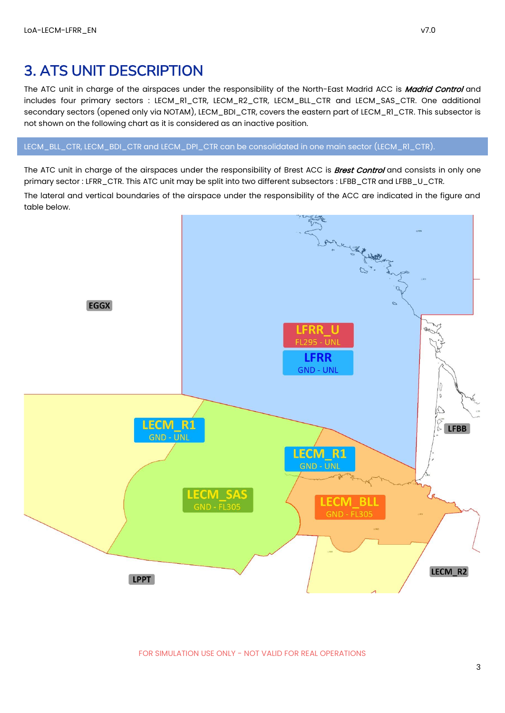## <span id="page-3-0"></span>3. ATS UNIT DESCRIPTION

The ATC unit in charge of the airspaces under the responsibility of the North-East Madrid ACC is Madrid Control and includes four primary sectors : LECM\_R1\_CTR, LECM\_R2\_CTR, LECM\_BLL\_CTR and LECM\_SAS\_CTR. One additional secondary sectors (opened only via NOTAM), LECM\_BDI\_CTR, covers the eastern part of LECM\_R1\_CTR. This subsector is not shown on the following chart as it is considered as an inactive position.

LECM\_BLL\_CTR, LECM\_BDI\_CTR and LECM\_DPI\_CTR can be consolidated in one main sector (LECM\_R1\_CTR).

The ATC unit in charge of the airspaces under the responsibility of Brest ACC is **Brest Control** and consists in only one primary sector : LFRR\_CTR. This ATC unit may be split into two different subsectors : LFBB\_CTR and LFBB\_U\_CTR.

The lateral and vertical boundaries of the airspace under the responsibility of the ACC are indicated in the figure and table below.

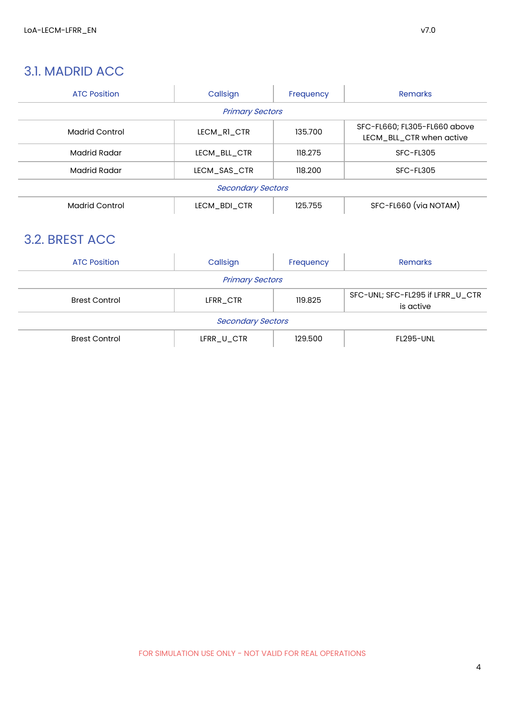#### <span id="page-4-0"></span>3.1. MADRID ACC

| <b>ATC Position</b>   | Callsign                 | Frequency | <b>Remarks</b>                                           |
|-----------------------|--------------------------|-----------|----------------------------------------------------------|
|                       | <b>Primary Sectors</b>   |           |                                                          |
| <b>Madrid Control</b> | LECM R1 CTR              | 135.700   | SFC-FL660; FL305-FL660 above<br>LECM_BLL_CTR when active |
| Madrid Radar          | LECM_BLL_CTR             | 118.275   | SFC-FL305                                                |
| <b>Madrid Radar</b>   | LECM SAS CTR             | 118.200   | SFC-FL305                                                |
|                       | <b>Secondary Sectors</b> |           |                                                          |
| <b>Madrid Control</b> | LECM BDI CTR             | 125.755   | SFC-FL660 (via NOTAM)                                    |

## <span id="page-4-1"></span>3.2. BREST ACC

| <b>ATC Position</b>      | Callsign               | Frequency | Remarks                                       |
|--------------------------|------------------------|-----------|-----------------------------------------------|
|                          | <b>Primary Sectors</b> |           |                                               |
| <b>Brest Control</b>     | LFRR CTR               | 119.825   | SFC-UNL; SFC-FL295 if LFRR_U_CTR<br>is active |
| <b>Secondary Sectors</b> |                        |           |                                               |
| <b>Brest Control</b>     | LFRR_U_CTR             | 129.500   | <b>FL295-UNL</b>                              |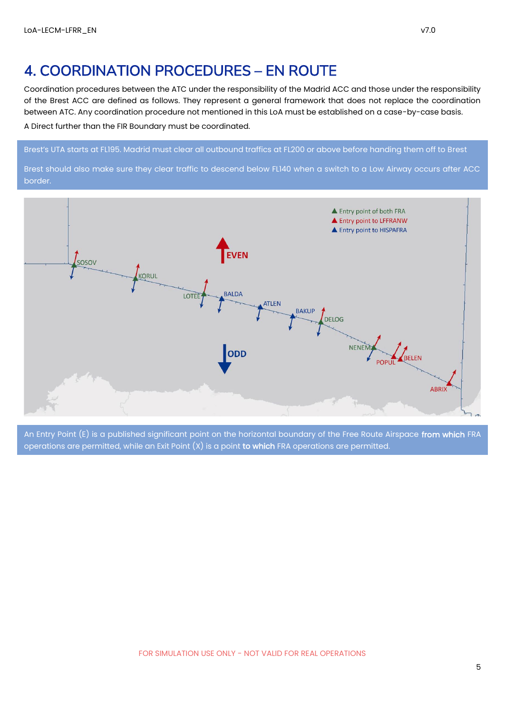#### <span id="page-5-0"></span>4. COORDINATION PROCEDURES – EN ROUTE

Coordination procedures between the ATC under the responsibility of the Madrid ACC and those under the responsibility of the Brest ACC are defined as follows. They represent a general framework that does not replace the coordination between ATC. Any coordination procedure not mentioned in this LoA must be established on a case-by-case basis.

A Direct further than the FIR Boundary must be coordinated.

#### Brest's UTA starts at FL195. Madrid must clear all outbound traffics at FL200 or above before handing them off to Brest

Brest should also make sure they clear traffic to descend below FL140 when a switch to a Low Airway occurs after ACC border.



An Entry Point (E) is a published significant point on the horizontal boundary of the Free Route Airspace from which FRA operations are permitted, while an Exit Point  $(X)$  is a point to which FRA operations are permitted.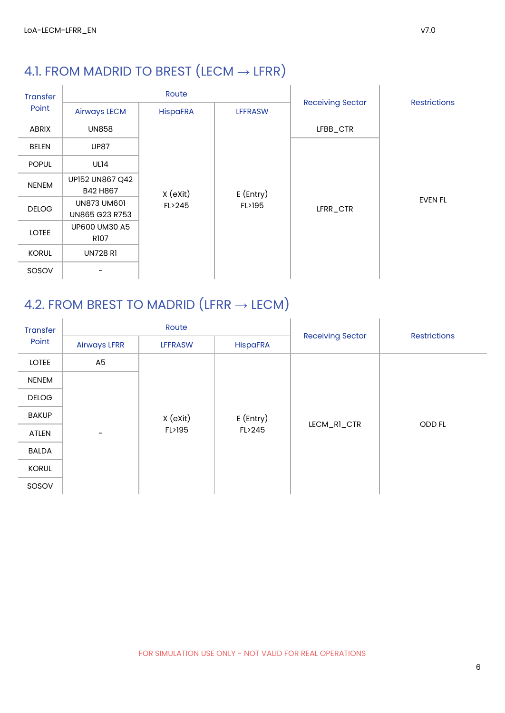# <span id="page-6-0"></span>4.1. FROM MADRID TO BREST  $(LECM \rightarrow LFRR)$

| <b>Transfer</b> |                                      | Route           |                |                         |                     |
|-----------------|--------------------------------------|-----------------|----------------|-------------------------|---------------------|
| Point           | <b>Airways LECM</b>                  | <b>HispaFRA</b> | <b>LFFRASW</b> | <b>Receiving Sector</b> | <b>Restrictions</b> |
| ABRIX           | <b>UN858</b>                         |                 |                | LFBB_CTR                |                     |
| <b>BELEN</b>    | <b>UP87</b>                          |                 |                |                         |                     |
| <b>POPUL</b>    | UL14                                 |                 |                |                         |                     |
| <b>NENEM</b>    | UP152 UN867 Q42<br>B42 H867          | X (eXit)        | $E$ (Entry)    |                         |                     |
| <b>DELOG</b>    | <b>UN873 UM601</b><br>UN865 G23 R753 | FL>245          | FL>195         | LFRR_CTR                | <b>EVEN FL</b>      |
| <b>LOTEE</b>    | UP600 UM30 A5<br>R107                |                 |                |                         |                     |
| <b>KORUL</b>    | <b>UN728 R1</b>                      |                 |                |                         |                     |
| SOSOV           |                                      |                 |                |                         |                     |

# <span id="page-6-1"></span>4.2. FROM BREST TO MADRID (LFRR  $\rightarrow$  LECM)

| <b>Transfer</b> |                     | Route          |                 |                         | <b>Restrictions</b> |  |
|-----------------|---------------------|----------------|-----------------|-------------------------|---------------------|--|
| Point           | <b>Airways LFRR</b> | <b>LFFRASW</b> | <b>HispaFRA</b> | <b>Receiving Sector</b> |                     |  |
| <b>LOTEE</b>    | A <sub>5</sub>      |                |                 |                         |                     |  |
| <b>NENEM</b>    |                     |                |                 |                         |                     |  |
| <b>DELOG</b>    |                     |                |                 |                         |                     |  |
| <b>BAKUP</b>    |                     | X (eXit)       | E (Entry)       | LECM_RI_CTR             | ODD FL              |  |
| ATLEN           |                     | FL>195         | FL>245          |                         |                     |  |
| <b>BALDA</b>    |                     |                |                 |                         |                     |  |
| <b>KORUL</b>    |                     |                |                 |                         |                     |  |
| SOSOV           |                     |                |                 |                         |                     |  |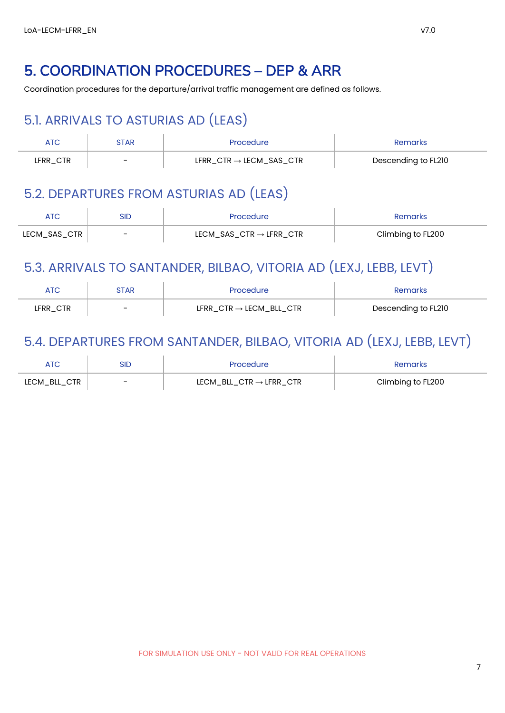## <span id="page-7-0"></span>5. COORDINATION PROCEDURES – DEP & ARR

<span id="page-7-1"></span>Coordination procedures for the departure/arrival traffic management are defined as follows.

# 5.1. ARRIVALS TO ASTURIAS AD (LEAS)

| ATC      | STAR                     | Procedure                                               | Remarks             |
|----------|--------------------------|---------------------------------------------------------|---------------------|
| LFRR_CTR | $\overline{\phantom{0}}$ | $\texttt{LFRR\_CTR}\rightarrow \texttt{LECM\_SAS\_CTR}$ | Descending to FL210 |

### <span id="page-7-2"></span>5.2. DEPARTURES FROM ASTURIAS AD (LEAS)

|              | Sid                      | Procedure                              | Remarks           |
|--------------|--------------------------|----------------------------------------|-------------------|
| LECM_SAS_CTR | $\overline{\phantom{0}}$ | $LECM\_SAS\_CTR \rightarrow LFRR\_CTR$ | Climbing to FL200 |

## <span id="page-7-3"></span>5.3. ARRIVALS TO SANTANDER, BILBAO, VITORIA AD (LEXJ, LEBB, LEVT)

| ATC      | STAR                     | <b>Procedure</b>                       | ?emarks             |
|----------|--------------------------|----------------------------------------|---------------------|
| LFRR_CTR | $\overline{\phantom{a}}$ | $LFRR$ _CTR $\rightarrow$ LECM_BLL_CTR | Descending to FL210 |

## <span id="page-7-4"></span>5.4. DEPARTURES FROM SANTANDER, BILBAO, VITORIA AD (LEXJ, LEBB, LEVT)

|              | sid                      | Procedure                             | Remarks           |
|--------------|--------------------------|---------------------------------------|-------------------|
| LECM_BLL_CTR | $\overline{\phantom{0}}$ | $LECM$ BLL_CTR $\rightarrow$ LFRR_CTR | Climbing to FL200 |